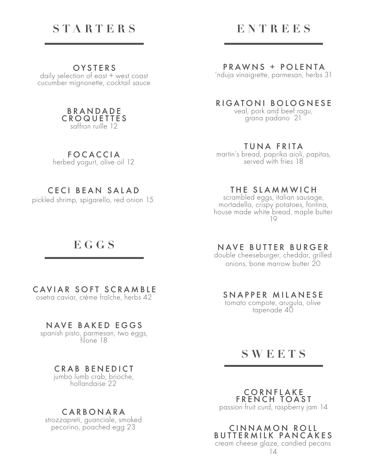# **STARTERS**

### **OYSTERS**

daily selection of east + west coast cucumber mignonette, cocktail sauce



FOCACCIA herbed yogurt, olive oil 12

## CECI BEAN SALAD

pickled shrimp, spigarello, red onion 15

# **EGGS**

## CAVIAR SOFT SCRAMBLE

osetra caviar, crème fraîche, herbs 42

### NAVE BAKED EGGS

spanish pisto, parmesan, two eggs, filone 18

## CRAB BENEDICT

jumbo lumb crab, brioche, hollandaise 22

### CARBONARA

strozzapreti, guanciale, smoked pecorino, poached egg 23

# **ENTREES**

#### PRAWNS + POLENTA

'nduja vinaigrette, parmesan, herbs 31

### RIGATONI BOLOGNESE

veal, pork and beef ragu, grana padano 21

#### TUNA FRITA

martin's bread, paprika aioli, papitas, served with fries 18

#### THE SLAMMWICH

scrambled eggs, italian sausage, mortadella, crispy potatoes, fontina, house made white bread, maple butter 19

#### NAVE BUTTER BURGER

double cheeseburger, cheddar, grilled onions, bone marrow butter 20

### SNAPPER MILANESE

tomato compote, arugula, olive tapenade 40

## **SWEETS**

CORNFLAKE FRENCH TOAST passion fruit curd, raspberry jam 14

CINNAMON ROLL BUTTERMILK PANCAKES

cream cheese glaze, candied pecans